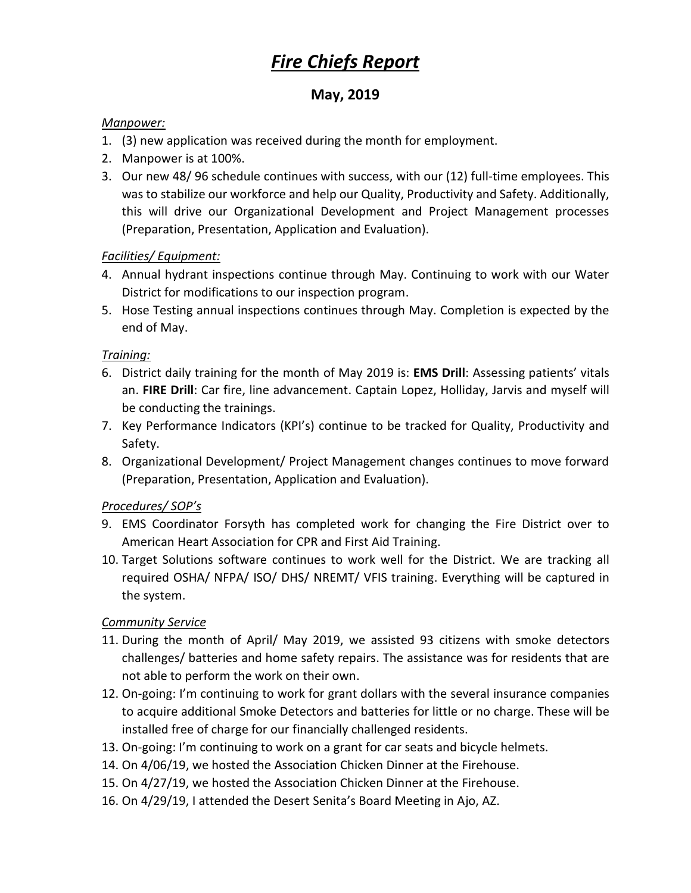# *Fire Chiefs Report*

## **May, 2019**

#### *Manpower:*

- 1. (3) new application was received during the month for employment.
- 2. Manpower is at 100%.
- 3. Our new 48/ 96 schedule continues with success, with our (12) full-time employees. This was to stabilize our workforce and help our Quality, Productivity and Safety. Additionally, this will drive our Organizational Development and Project Management processes (Preparation, Presentation, Application and Evaluation).

#### *Facilities/ Equipment:*

- 4. Annual hydrant inspections continue through May. Continuing to work with our Water District for modifications to our inspection program.
- 5. Hose Testing annual inspections continues through May. Completion is expected by the end of May.

#### *Training:*

- 6. District daily training for the month of May 2019 is: **EMS Drill**: Assessing patients' vitals an. **FIRE Drill**: Car fire, line advancement. Captain Lopez, Holliday, Jarvis and myself will be conducting the trainings.
- 7. Key Performance Indicators (KPI's) continue to be tracked for Quality, Productivity and Safety.
- 8. Organizational Development/ Project Management changes continues to move forward (Preparation, Presentation, Application and Evaluation).

#### *Procedures/ SOP's*

- 9. EMS Coordinator Forsyth has completed work for changing the Fire District over to American Heart Association for CPR and First Aid Training.
- 10. Target Solutions software continues to work well for the District. We are tracking all required OSHA/ NFPA/ ISO/ DHS/ NREMT/ VFIS training. Everything will be captured in the system.

#### *Community Service*

- 11. During the month of April/ May 2019, we assisted 93 citizens with smoke detectors challenges/ batteries and home safety repairs. The assistance was for residents that are not able to perform the work on their own.
- 12. On-going: I'm continuing to work for grant dollars with the several insurance companies to acquire additional Smoke Detectors and batteries for little or no charge. These will be installed free of charge for our financially challenged residents.
- 13. On-going: I'm continuing to work on a grant for car seats and bicycle helmets.
- 14. On 4/06/19, we hosted the Association Chicken Dinner at the Firehouse.
- 15. On 4/27/19, we hosted the Association Chicken Dinner at the Firehouse.
- 16. On 4/29/19, I attended the Desert Senita's Board Meeting in Ajo, AZ.